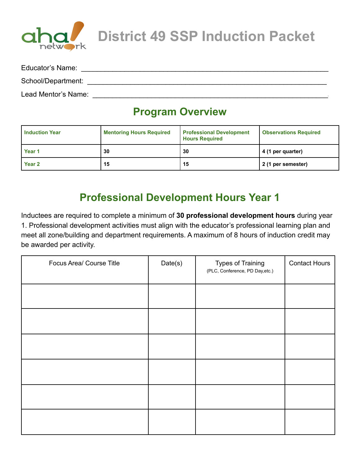

**District 49 SSP Induction Packet**

| Educator's Name:    |  |
|---------------------|--|
| School/Department:  |  |
| Lead Mentor's Name: |  |

#### **Program Overview**

| <b>Induction Year</b> | <b>Mentoring Hours Required</b> | <b>Professional Development</b><br><b>Hours Required</b> | <b>Observations Required</b> |
|-----------------------|---------------------------------|----------------------------------------------------------|------------------------------|
| Year <sub>1</sub>     | 30                              | 30                                                       | 4 (1 per quarter)            |
| Year <sub>2</sub>     | 15                              | 15                                                       | 2 (1 per semester)           |

#### **Professional Development Hours Year 1**

Inductees are required to complete a minimum of **30 professional development hours** during year 1. Professional development activities must align with the educator's professional learning plan and meet all zone/building and department requirements. A maximum of 8 hours of induction credit may be awarded per activity.

| Focus Area/ Course Title | Date(s) | <b>Types of Training</b><br>(PLC, Conference, PD Day, etc.) | <b>Contact Hours</b> |
|--------------------------|---------|-------------------------------------------------------------|----------------------|
|                          |         |                                                             |                      |
|                          |         |                                                             |                      |
|                          |         |                                                             |                      |
|                          |         |                                                             |                      |
|                          |         |                                                             |                      |
|                          |         |                                                             |                      |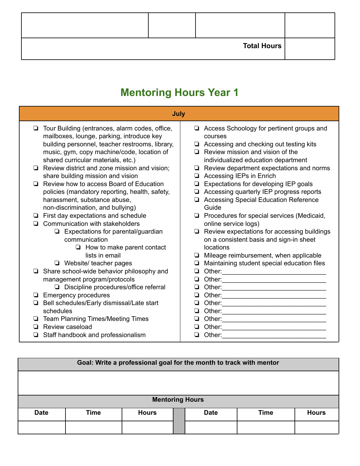|  | <b>Total Hours</b> |  |
|--|--------------------|--|

# **Mentoring Hours Year 1**

|                                                                                                                                                                                                                                                                                                                                                                                                                                                                                                | July                                                                                                                                                                                                                                                                                                                                                                                                                          |
|------------------------------------------------------------------------------------------------------------------------------------------------------------------------------------------------------------------------------------------------------------------------------------------------------------------------------------------------------------------------------------------------------------------------------------------------------------------------------------------------|-------------------------------------------------------------------------------------------------------------------------------------------------------------------------------------------------------------------------------------------------------------------------------------------------------------------------------------------------------------------------------------------------------------------------------|
| Tour Building (entrances, alarm codes, office,<br>◘<br>mailboxes, lounge, parking, introduce key<br>building personnel, teacher restrooms, library,<br>music, gym, copy machine/code, location of<br>shared curricular materials, etc.)<br>Review district and zone mission and vision;<br>share building mission and vision<br>Review how to access Board of Education<br>policies (mandatory reporting, health, safety,<br>harassment, substance abuse,<br>non-discrimination, and bullying) | Access Schoology for pertinent groups and<br>courses<br>$\Box$ Accessing and checking out testing kits<br>$\Box$ Review mission and vision of the<br>individualized education department<br>Review department expectations and norms<br>Accessing IEPs in Enrich<br>❏<br>Expectations for developing IEP goals<br>Accessing quarterly IEP progress reports<br>$\Box$<br><b>Accessing Special Education Reference</b><br>Guide |
| First day expectations and schedule                                                                                                                                                                                                                                                                                                                                                                                                                                                            | $\Box$ Procedures for special services (Medicaid,                                                                                                                                                                                                                                                                                                                                                                             |
| Communication with stakeholders<br>Expectations for parental/guardian<br>❏<br>communication<br>How to make parent contact<br>◘<br>lists in email<br>$\Box$ Website/ teacher pages                                                                                                                                                                                                                                                                                                              | online service logs)<br>Review expectations for accessing buildings<br>on a consistent basis and sign-in sheet<br>locations<br>Mileage reimbursement, when applicable<br>❏<br>Maintaining student special education files                                                                                                                                                                                                     |
| Share school-wide behavior philosophy and<br>management program/protocols<br>□ Discipline procedures/office referral<br><b>Emergency procedures</b><br>Bell schedules/Early dismissal/Late start<br>⊔<br>schedules<br><b>Team Planning Times/Meeting Times</b><br>Review caseload<br>Staff handbook and professionalism                                                                                                                                                                        | Other: and the control of the control of the control of the control of the control of the control of the control of the control of the control of the control of the control of the control of the control of the control of t<br>❏<br>Other:<br>Other:<br>❏<br>Other:<br>Other:<br>Other:<br>Other:<br>Other:<br>Other:                                                                                                      |

| Goal: Write a professional goal for the month to track with mentor |                        |              |  |             |             |              |  |
|--------------------------------------------------------------------|------------------------|--------------|--|-------------|-------------|--------------|--|
|                                                                    |                        |              |  |             |             |              |  |
|                                                                    |                        |              |  |             |             |              |  |
|                                                                    | <b>Mentoring Hours</b> |              |  |             |             |              |  |
| <b>Date</b>                                                        | Time                   | <b>Hours</b> |  | <b>Date</b> | <b>Time</b> | <b>Hours</b> |  |
|                                                                    |                        |              |  |             |             |              |  |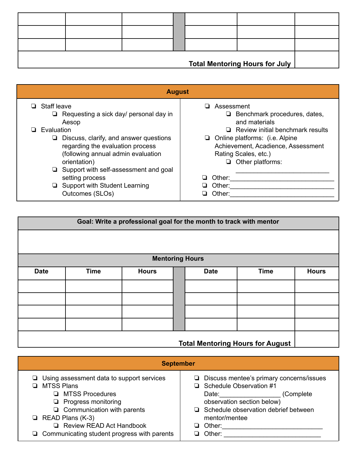| <b>Total Mentoring Hours for July</b> |  |  |  |  |  |  |
|---------------------------------------|--|--|--|--|--|--|

| <b>August</b>                                                                                                                                  |                                                                                                                                                                           |  |  |  |  |  |
|------------------------------------------------------------------------------------------------------------------------------------------------|---------------------------------------------------------------------------------------------------------------------------------------------------------------------------|--|--|--|--|--|
| $\Box$ Staff leave<br>$\Box$ Requesting a sick day/ personal day in<br>Aesop                                                                   | Assessment<br>Benchmark procedures, dates,<br>⊔<br>and materials                                                                                                          |  |  |  |  |  |
| Evaluation<br>Discuss, clarify, and answer questions<br>regarding the evaluation process<br>(following annual admin evaluation<br>orientation) | $\Box$ Review initial benchmark results<br>$\Box$ Online platforms: (i.e. Alpine<br>Achievement, Acadience, Assessment<br>Rating Scales, etc.)<br>$\Box$ Other platforms: |  |  |  |  |  |
| Support with self-assessment and goal<br>setting process                                                                                       | Other:                                                                                                                                                                    |  |  |  |  |  |
| Support with Student Learning<br>u<br>Outcomes (SLOs)                                                                                          | Other:<br>Other:                                                                                                                                                          |  |  |  |  |  |

|             | Goal: Write a professional goal for the month to track with mentor |                        |  |             |             |              |
|-------------|--------------------------------------------------------------------|------------------------|--|-------------|-------------|--------------|
|             |                                                                    |                        |  |             |             |              |
|             |                                                                    | <b>Mentoring Hours</b> |  |             |             |              |
|             |                                                                    |                        |  |             |             |              |
| <b>Date</b> | <b>Time</b>                                                        | <b>Hours</b>           |  | <b>Date</b> | <b>Time</b> | <b>Hours</b> |
|             |                                                                    |                        |  |             |             |              |
|             |                                                                    |                        |  |             |             |              |
|             |                                                                    |                        |  |             |             |              |
|             |                                                                    |                        |  |             |             |              |
|             | <b>Total Mentoring Hours for August</b>                            |                        |  |             |             |              |

| <b>September</b>                                                                                                                                                                                                                                                                |                                                                                                                                                                                                                                    |  |  |  |  |
|---------------------------------------------------------------------------------------------------------------------------------------------------------------------------------------------------------------------------------------------------------------------------------|------------------------------------------------------------------------------------------------------------------------------------------------------------------------------------------------------------------------------------|--|--|--|--|
| $\Box$ Using assessment data to support services<br><b>MTSS Plans</b><br>$\Box$ MTSS Procedures<br>$\Box$ Progress monitoring<br>$\Box$ Communication with parents<br>$\Box$ READ Plans (K-3)<br>Review READ Act Handbook<br>$\Box$ Communicating student progress with parents | $\Box$ Discuss mentee's primary concerns/issues<br>Schedule Observation #1<br>Date: ______________<br>(Complete)<br>observation section below)<br>Schedule observation debrief between<br>mentor/mentee<br>□ Other:<br>Other:<br>ப |  |  |  |  |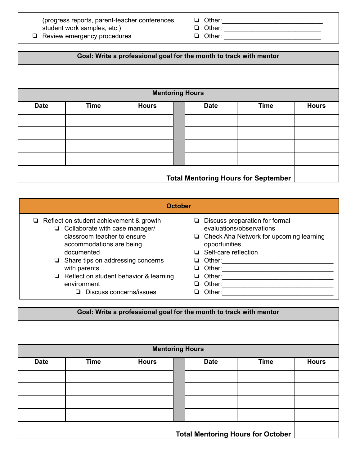(progress reports, parent-teacher conferences, student work samples, etc.)

❏ Review emergency procedures

❏ Other:\_\_\_\_\_\_\_\_\_\_\_\_\_\_\_\_\_\_\_\_\_\_\_\_\_\_\_\_

❏ Other: \_\_\_\_\_\_\_\_\_\_\_\_\_\_\_\_\_\_\_\_\_\_\_\_\_\_\_ ❏ Other: \_\_\_\_\_\_\_\_\_\_\_\_\_\_\_\_\_\_\_\_\_\_\_\_\_\_\_

|             | Goal: Write a professional goal for the month to track with mentor |              |  |             |             |              |
|-------------|--------------------------------------------------------------------|--------------|--|-------------|-------------|--------------|
|             |                                                                    |              |  |             |             |              |
|             |                                                                    |              |  |             |             |              |
|             | <b>Mentoring Hours</b>                                             |              |  |             |             |              |
| <b>Date</b> | <b>Time</b>                                                        | <b>Hours</b> |  | <b>Date</b> | <b>Time</b> | <b>Hours</b> |
|             |                                                                    |              |  |             |             |              |
|             |                                                                    |              |  |             |             |              |
|             |                                                                    |              |  |             |             |              |
|             |                                                                    |              |  |             |             |              |
|             |                                                                    |              |  |             |             |              |
|             | <b>Total Mentoring Hours for September</b>                         |              |  |             |             |              |

| <b>October</b>                                                                                                                                                                                                                                                                                                                 |                                                                                                                                                                                                                                   |  |  |  |  |  |
|--------------------------------------------------------------------------------------------------------------------------------------------------------------------------------------------------------------------------------------------------------------------------------------------------------------------------------|-----------------------------------------------------------------------------------------------------------------------------------------------------------------------------------------------------------------------------------|--|--|--|--|--|
| $\Box$ Reflect on student achievement & growth<br>$\Box$ Collaborate with case manager/<br>classroom teacher to ensure<br>accommodations are being<br>documented<br>$\Box$ Share tips on addressing concerns<br>with parents<br>$\Box$ Reflect on student behavior & learning<br>environment<br>$\Box$ Discuss concerns/issues | $\Box$ Discuss preparation for formal<br>evaluations/observations<br>$\Box$ Check Aha Network for upcoming learning<br>opportunities<br>□ Self-care reflection<br>Other:<br>ப<br>Other:<br>ப<br>Other:<br>Other:<br>l 1<br>Other: |  |  |  |  |  |

| Goal: Write a professional goal for the month to track with mentor |             |                        |  |             |                                          |              |
|--------------------------------------------------------------------|-------------|------------------------|--|-------------|------------------------------------------|--------------|
|                                                                    |             |                        |  |             |                                          |              |
|                                                                    |             | <b>Mentoring Hours</b> |  |             |                                          |              |
| <b>Date</b>                                                        | <b>Time</b> | <b>Hours</b>           |  | <b>Date</b> | <b>Time</b>                              | <b>Hours</b> |
|                                                                    |             |                        |  |             |                                          |              |
|                                                                    |             |                        |  |             |                                          |              |
|                                                                    |             |                        |  |             |                                          |              |
|                                                                    |             |                        |  |             |                                          |              |
|                                                                    |             |                        |  |             | <b>Total Mentoring Hours for October</b> |              |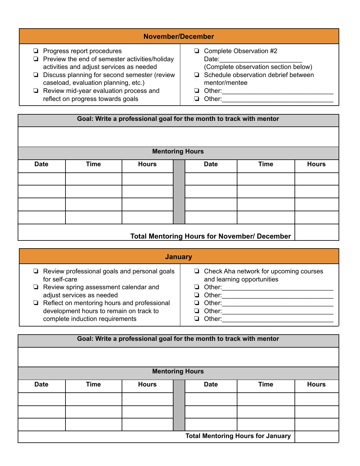#### **November/December**

- ❏ Progress report procedures
- ❏ Preview the end of semester activities/holiday activities and adjust services as needed
- ❏ Discuss planning for second semester (review caseload, evaluation planning, etc.)
- ❏ Review mid-year evaluation process and reflect on progress towards goals
- ❏ Complete Observation #2 Date: (Complete observation section below)
- ❏ Schedule observation debrief between mentor/mentee
- ❏ Other:\_\_\_\_\_\_\_\_\_\_\_\_\_\_\_\_\_\_\_\_\_\_\_\_\_\_\_\_\_\_\_
- ❏ Other:\_\_\_\_\_\_\_\_\_\_\_\_\_\_\_\_\_\_\_\_\_\_\_\_\_\_\_\_\_\_\_

# **Goal: Write a professional goal for the month to track with mentor Mentoring Hours Date Time Hours Date Time Hours Total Mentoring Hours for November/ December**

| <b>January</b>                                                                                |                                                                             |  |  |  |  |  |
|-----------------------------------------------------------------------------------------------|-----------------------------------------------------------------------------|--|--|--|--|--|
| $\Box$ Review professional goals and personal goals<br>for self-care                          | $\Box$ Check Aha network for upcoming courses<br>and learning opportunities |  |  |  |  |  |
| $\Box$ Review spring assessment calendar and<br>adjust services as needed                     | $\Box$ Other:<br>Other:<br>ப                                                |  |  |  |  |  |
| $\Box$ Reflect on mentoring hours and professional<br>development hours to remain on track to | Other:<br>ப<br>Other:<br>ப                                                  |  |  |  |  |  |
| complete induction requirements                                                               | Other:<br>ப                                                                 |  |  |  |  |  |
| Goal: Write a professional goal for the month to track with mentor                            |                                                                             |  |  |  |  |  |

|             |             | <b>Mentoring Hours</b> |             |                                          |              |
|-------------|-------------|------------------------|-------------|------------------------------------------|--------------|
| <b>Date</b> | <b>Time</b> | <b>Hours</b>           | <b>Date</b> | <b>Time</b>                              | <b>Hours</b> |
|             |             |                        |             |                                          |              |
|             |             |                        |             |                                          |              |
|             |             |                        |             |                                          |              |
|             |             |                        |             |                                          |              |
|             |             |                        |             | <b>Total Mentoring Hours for January</b> |              |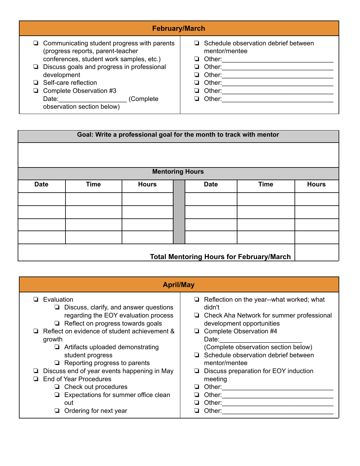| <b>February/March</b>                                                                                                                                                                                                                                                                                                   |                                                                                                                   |
|-------------------------------------------------------------------------------------------------------------------------------------------------------------------------------------------------------------------------------------------------------------------------------------------------------------------------|-------------------------------------------------------------------------------------------------------------------|
| $\Box$ Communicating student progress with parents<br>(progress reports, parent-teacher<br>conferences, student work samples, etc.)<br>$\Box$ Discuss goals and progress in professional<br>development<br>□ Self-care reflection<br>$\Box$ Complete Observation #3<br>Date:<br>(Complete<br>observation section below) | Schedule observation debrief between<br>mentor/mentee<br>Other:<br>Other:<br>Other:<br>Other:<br>Other:<br>Other: |

|                                                 | Goal: Write a professional goal for the month to track with mentor |                        |  |             |             |              |
|-------------------------------------------------|--------------------------------------------------------------------|------------------------|--|-------------|-------------|--------------|
|                                                 |                                                                    |                        |  |             |             |              |
|                                                 |                                                                    |                        |  |             |             |              |
|                                                 |                                                                    | <b>Mentoring Hours</b> |  |             |             |              |
| <b>Date</b>                                     | <b>Time</b>                                                        | <b>Hours</b>           |  | <b>Date</b> | <b>Time</b> | <b>Hours</b> |
|                                                 |                                                                    |                        |  |             |             |              |
|                                                 |                                                                    |                        |  |             |             |              |
|                                                 |                                                                    |                        |  |             |             |              |
|                                                 |                                                                    |                        |  |             |             |              |
| <b>Total Mentoring Hours for February/March</b> |                                                                    |                        |  |             |             |              |

| <b>April/May</b>                              |                                                  |
|-----------------------------------------------|--------------------------------------------------|
| Evaluation                                    | $\Box$ Reflection on the year--what worked; what |
| ❏                                             | didn't                                           |
| $\Box$ Discuss, clarify, and answer questions | $\Box$ Check Aha Network for summer professional |
| regarding the EOY evaluation process          | development opportunities                        |
| $\Box$ Reflect on progress towards goals      | Complete Observation #4                          |
| Reflect on evidence of student achievement &  | Date:                                            |
| growth                                        | (Complete observation section below)             |
| $\Box$ Artifacts uploaded demonstrating       | $\Box$ Schedule observation debrief between      |
| student progress                              | mentor/mentee                                    |
| $\Box$ Reporting progress to parents          | Discuss preparation for EOY induction            |
| Discuss end of year events happening in May   | ⊔                                                |
| End of Year Procedures                        | meeting                                          |
| $\Box$ Check out procedures                   | Other:                                           |
| $\Box$ Expectations for summer office clean   | Other:                                           |
| out                                           | Other:                                           |
| Ordering for next year                        | Other:                                           |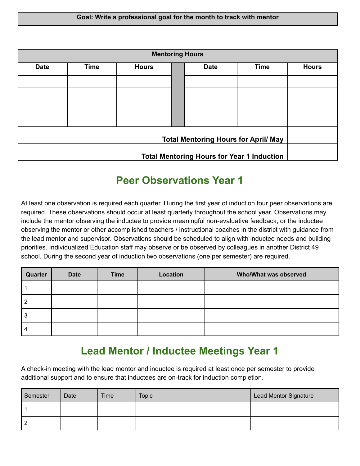|                                             | Goal: Write a professional goal for the month to track with mentor |                        |  |             |             |              |
|---------------------------------------------|--------------------------------------------------------------------|------------------------|--|-------------|-------------|--------------|
|                                             |                                                                    |                        |  |             |             |              |
|                                             |                                                                    | <b>Mentoring Hours</b> |  |             |             |              |
| <b>Date</b>                                 | <b>Time</b>                                                        | <b>Hours</b>           |  | <b>Date</b> | <b>Time</b> | <b>Hours</b> |
|                                             |                                                                    |                        |  |             |             |              |
|                                             |                                                                    |                        |  |             |             |              |
|                                             |                                                                    |                        |  |             |             |              |
|                                             |                                                                    |                        |  |             |             |              |
| <b>Total Mentoring Hours for April/ May</b> |                                                                    |                        |  |             |             |              |
|                                             | <b>Total Mentoring Hours for Year 1 Induction</b>                  |                        |  |             |             |              |

#### **Peer Observations Year 1**

At least one observation is required each quarter. During the first year of induction four peer observations are required. These observations should occur at least quarterly throughout the school year. Observations may include the mentor observing the inductee to provide meaningful non-evaluative feedback, or the inductee observing the mentor or other accomplished teachers / instructional coaches in the district with guidance from the lead mentor and supervisor. Observations should be scheduled to align with inductee needs and building priorities. Individualized Education staff may observe or be observed by colleagues in another District 49 school. During the second year of induction two observations (one per semester) are required.

| Quarter | <b>Date</b> | <b>Time</b> | Location | Who/What was observed |
|---------|-------------|-------------|----------|-----------------------|
|         |             |             |          |                       |
|         |             |             |          |                       |
| Ĵ٥      |             |             |          |                       |
|         |             |             |          |                       |

#### **Lead Mentor / Inductee Meetings Year 1**

A check-in meeting with the lead mentor and inductee is required at least once per semester to provide additional support and to ensure that inductees are on-track for induction completion.

| Semester | Date | Time | <b>Topic</b> | Lead Mentor Signature |
|----------|------|------|--------------|-----------------------|
|          |      |      |              |                       |
| L        |      |      |              |                       |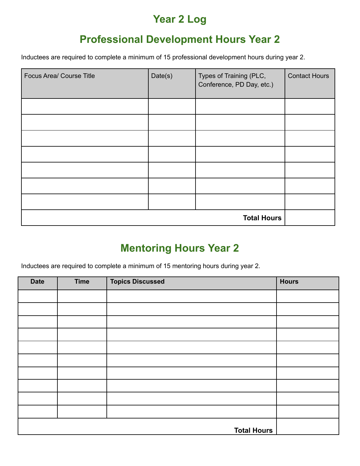#### **Year 2 Log**

#### **Professional Development Hours Year 2**

Inductees are required to complete a minimum of 15 professional development hours during year 2.

| <b>Focus Area/ Course Title</b> | Date(s) | Types of Training (PLC,<br>Conference, PD Day, etc.) | <b>Contact Hours</b> |
|---------------------------------|---------|------------------------------------------------------|----------------------|
|                                 |         |                                                      |                      |
|                                 |         |                                                      |                      |
|                                 |         |                                                      |                      |
|                                 |         |                                                      |                      |
|                                 |         |                                                      |                      |
|                                 |         |                                                      |                      |
|                                 |         |                                                      |                      |
|                                 |         |                                                      |                      |

#### **Mentoring Hours Year 2**

Inductees are required to complete a minimum of 15 mentoring hours during year 2.

| <b>Date</b> | <b>Time</b> | <b>Topics Discussed</b> | <b>Hours</b> |
|-------------|-------------|-------------------------|--------------|
|             |             |                         |              |
|             |             |                         |              |
|             |             |                         |              |
|             |             |                         |              |
|             |             |                         |              |
|             |             |                         |              |
|             |             |                         |              |
|             |             |                         |              |
|             |             |                         |              |
|             |             |                         |              |
|             |             | <b>Total Hours</b>      |              |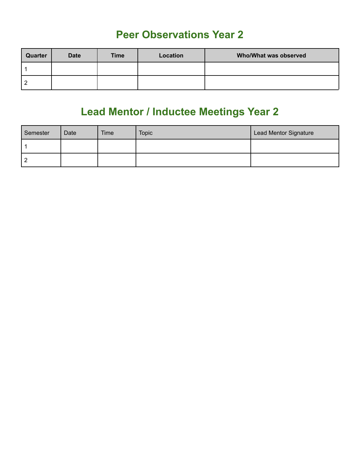#### **Peer Observations Year 2**

| Quarter  | <b>Date</b> | <b>Time</b> | Location | Who/What was observed |
|----------|-------------|-------------|----------|-----------------------|
|          |             |             |          |                       |
| <u>_</u> |             |             |          |                       |

## **Lead Mentor / Inductee Meetings Year 2**

| Semester | Date | Time | <b>Topic</b> | Lead Mentor Signature |
|----------|------|------|--------------|-----------------------|
|          |      |      |              |                       |
|          |      |      |              |                       |